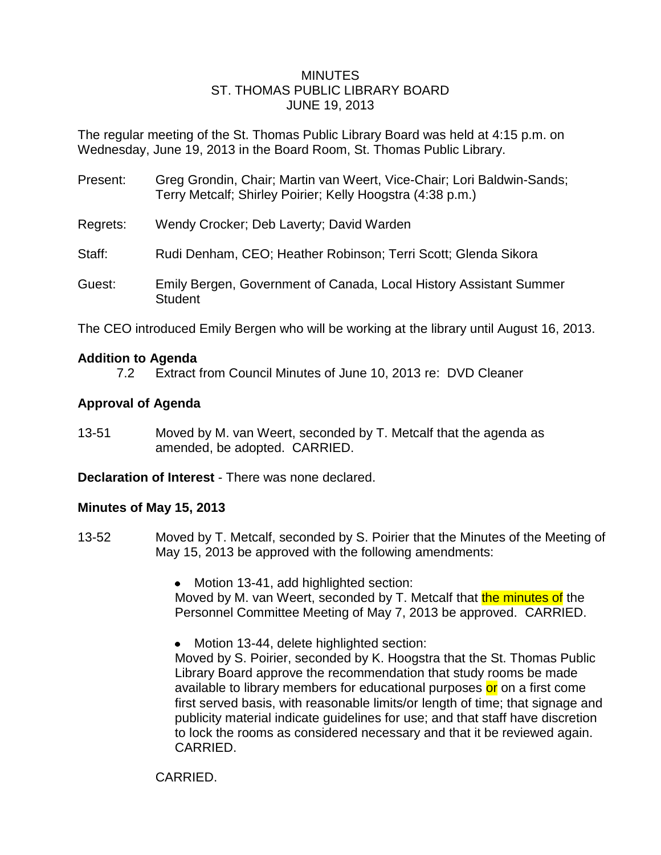### MINUTES ST. THOMAS PUBLIC LIBRARY BOARD JUNE 19, 2013

The regular meeting of the St. Thomas Public Library Board was held at 4:15 p.m. on Wednesday, June 19, 2013 in the Board Room, St. Thomas Public Library.

- Present: Greg Grondin, Chair; Martin van Weert, Vice-Chair; Lori Baldwin-Sands; Terry Metcalf; Shirley Poirier; Kelly Hoogstra (4:38 p.m.)
- Regrets: Wendy Crocker; Deb Laverty; David Warden
- Staff: Rudi Denham, CEO; Heather Robinson; Terri Scott; Glenda Sikora
- Guest: Emily Bergen, Government of Canada, Local History Assistant Summer **Student**

The CEO introduced Emily Bergen who will be working at the library until August 16, 2013.

#### **Addition to Agenda**

7.2 Extract from Council Minutes of June 10, 2013 re: DVD Cleaner

## **Approval of Agenda**

13-51 Moved by M. van Weert, seconded by T. Metcalf that the agenda as amended, be adopted. CARRIED.

**Declaration of Interest** - There was none declared.

## **Minutes of May 15, 2013**

- 13-52 Moved by T. Metcalf, seconded by S. Poirier that the Minutes of the Meeting of May 15, 2013 be approved with the following amendments:
	- Motion 13-41, add highlighted section:

Moved by M. van Weert, seconded by T. Metcalf that the minutes of the Personnel Committee Meeting of May 7, 2013 be approved. CARRIED.

 $\bullet$ Motion 13-44, delete highlighted section:

Moved by S. Poirier, seconded by K. Hoogstra that the St. Thomas Public Library Board approve the recommendation that study rooms be made available to library members for educational purposes or on a first come first served basis, with reasonable limits/or length of time; that signage and publicity material indicate guidelines for use; and that staff have discretion to lock the rooms as considered necessary and that it be reviewed again. CARRIED.

CARRIED.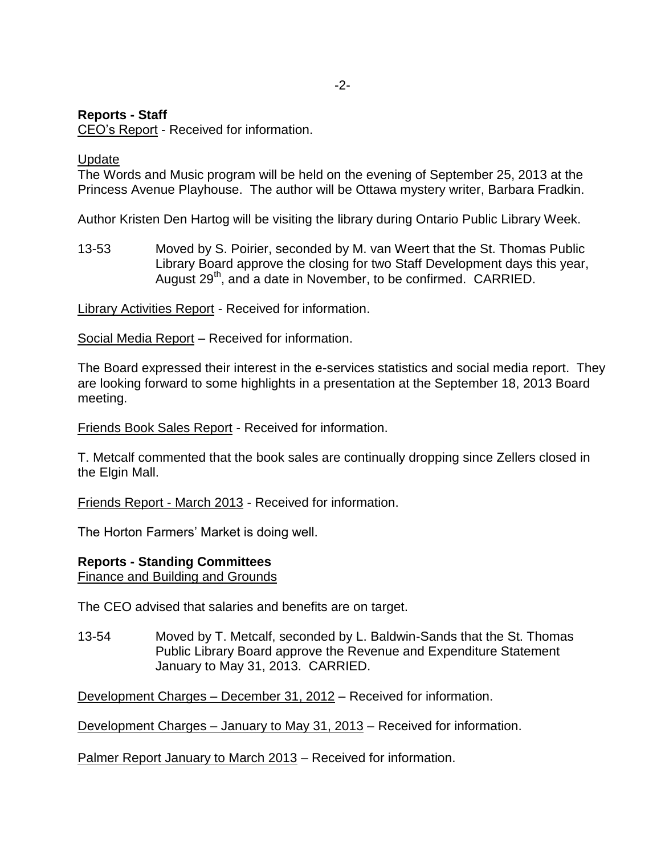# **Reports - Staff**

CEO's Report - Received for information.

## Update

The Words and Music program will be held on the evening of September 25, 2013 at the Princess Avenue Playhouse. The author will be Ottawa mystery writer, Barbara Fradkin.

Author Kristen Den Hartog will be visiting the library during Ontario Public Library Week.

13-53 Moved by S. Poirier, seconded by M. van Weert that the St. Thomas Public Library Board approve the closing for two Staff Development days this year, August  $29<sup>th</sup>$ , and a date in November, to be confirmed. CARRIED.

Library Activities Report - Received for information.

Social Media Report – Received for information.

The Board expressed their interest in the e-services statistics and social media report. They are looking forward to some highlights in a presentation at the September 18, 2013 Board meeting.

Friends Book Sales Report - Received for information.

T. Metcalf commented that the book sales are continually dropping since Zellers closed in the Elgin Mall.

Friends Report - March 2013 - Received for information.

The Horton Farmers' Market is doing well.

#### **Reports - Standing Committees**

Finance and Building and Grounds

The CEO advised that salaries and benefits are on target.

13-54 Moved by T. Metcalf, seconded by L. Baldwin-Sands that the St. Thomas Public Library Board approve the Revenue and Expenditure Statement January to May 31, 2013. CARRIED.

Development Charges – December 31, 2012 – Received for information.

Development Charges – January to May 31, 2013 – Received for information.

Palmer Report January to March 2013 – Received for information.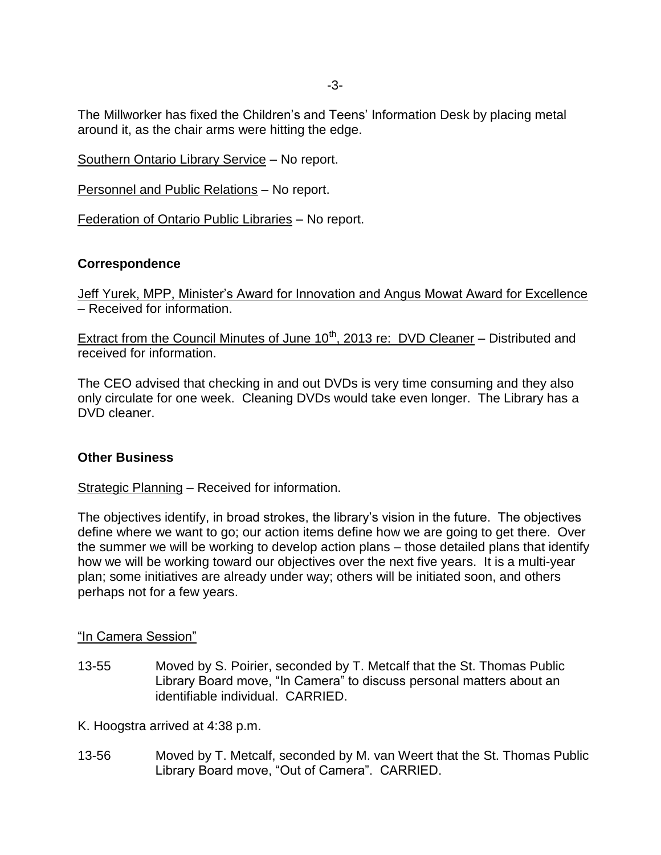The Millworker has fixed the Children's and Teens' Information Desk by placing metal around it, as the chair arms were hitting the edge.

Southern Ontario Library Service – No report.

Personnel and Public Relations – No report.

Federation of Ontario Public Libraries – No report.

## **Correspondence**

Jeff Yurek, MPP, Minister's Award for Innovation and Angus Mowat Award for Excellence – Received for information.

Extract from the Council Minutes of June  $10^{th}$ , 2013 re: DVD Cleaner – Distributed and received for information.

The CEO advised that checking in and out DVDs is very time consuming and they also only circulate for one week. Cleaning DVDs would take even longer. The Library has a DVD cleaner.

## **Other Business**

Strategic Planning – Received for information.

The objectives identify, in broad strokes, the library's vision in the future. The objectives define where we want to go; our action items define how we are going to get there. Over the summer we will be working to develop action plans – those detailed plans that identify how we will be working toward our objectives over the next five years. It is a multi-year plan; some initiatives are already under way; others will be initiated soon, and others perhaps not for a few years.

## "In Camera Session"

13-55 Moved by S. Poirier, seconded by T. Metcalf that the St. Thomas Public Library Board move, "In Camera" to discuss personal matters about an identifiable individual. CARRIED.

K. Hoogstra arrived at 4:38 p.m.

13-56 Moved by T. Metcalf, seconded by M. van Weert that the St. Thomas Public Library Board move, "Out of Camera". CARRIED.